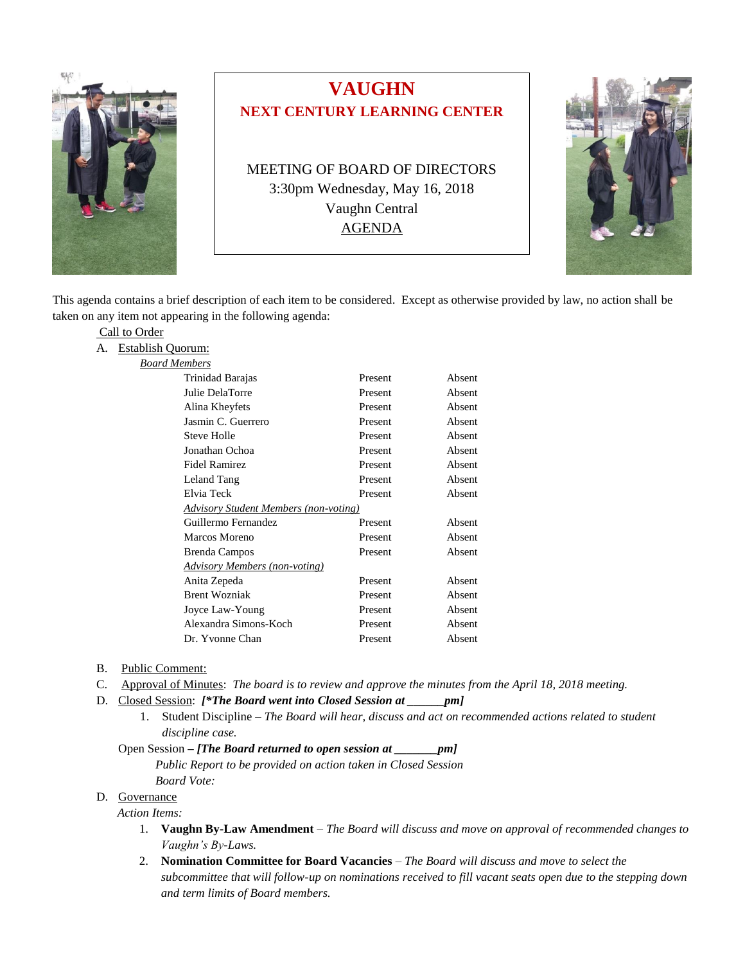

# **VAUGHN NEXT CENTURY LEARNING CENTER**

MEETING OF BOARD OF DIRECTORS 3:30pm Wednesday, May 16, 2018 Vaughn Central AGENDA



This agenda contains a brief description of each item to be considered. Except as otherwise provided by law, no action shall be taken on any item not appearing in the following agenda:

|--|

A. Establish Quorum:

| <b>Board Members</b> |  |
|----------------------|--|
|                      |  |

| <i>i memocro</i>                             |         |        |
|----------------------------------------------|---------|--------|
| Trinidad Barajas                             | Present | Absent |
| Julie DelaTorre                              | Present | Absent |
| Alina Kheyfets                               | Present | Absent |
| Jasmin C. Guerrero                           | Present | Absent |
| Steve Holle                                  | Present | Absent |
| Jonathan Ochoa                               | Present | Absent |
| Fidel Ramirez                                | Present | Absent |
| Leland Tang                                  | Present | Absent |
| Elvia Teck                                   | Present | Absent |
| <b>Advisory Student Members (non-voting)</b> |         |        |
| Guillermo Fernandez                          | Present | Absent |
| Marcos Moreno                                | Present | Absent |
| <b>Brenda Campos</b>                         | Present | Absent |
| <b>Advisory Members (non-voting)</b>         |         |        |
| Anita Zepeda                                 | Present | Absent |
| <b>Brent Wozniak</b>                         | Present | Absent |
| Joyce Law-Young                              | Present | Absent |
| Alexandra Simons-Koch                        | Present | Absent |
| Dr. Yvonne Chan                              | Present | Absent |
|                                              |         |        |

- B. Public Comment:
- C. Approval of Minutes: *The board is to review and approve the minutes from the April 18, 2018 meeting.*
- D. Closed Session: *[\*The Board went into Closed Session at \_\_\_\_\_\_pm]*
	- 1. Student Discipline *The Board will hear, discuss and act on recommended actions related to student discipline case.*

#### Open Session *– [The Board returned to open session at \_\_\_\_\_\_\_pm]*

 *Public Report to be provided on action taken in Closed Session Board Vote:*

#### D. Governance

*Action Items:*

- 1. **Vaughn By-Law Amendment** *The Board will discuss and move on approval of recommended changes to Vaughn's By-Laws.*
- 2. **Nomination Committee for Board Vacancies** *– The Board will discuss and move to select the subcommittee that will follow-up on nominations received to fill vacant seats open due to the stepping down and term limits of Board members.*